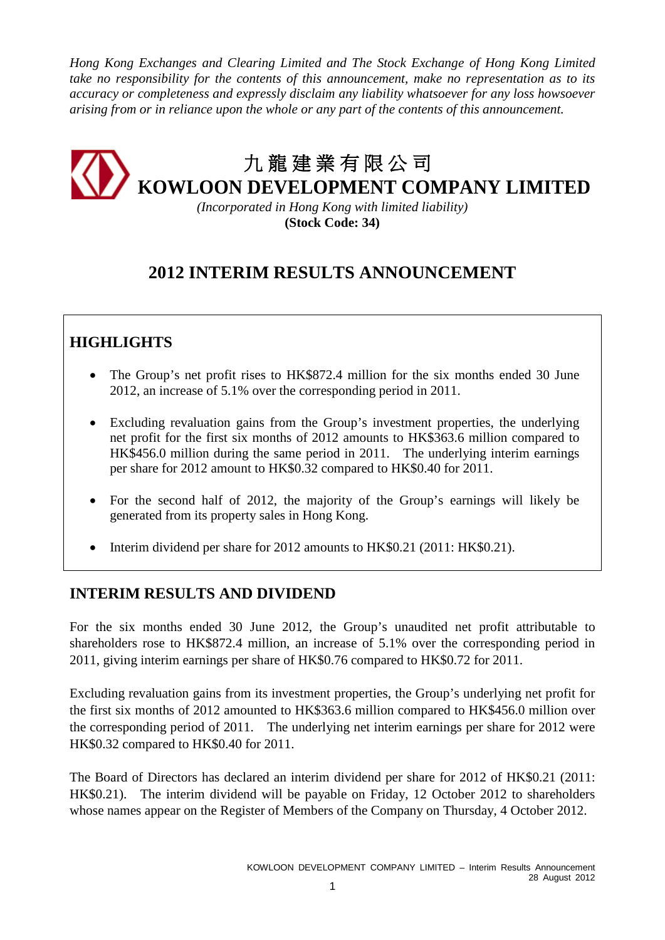*Hong Kong Exchanges and Clearing Limited and The Stock Exchange of Hong Kong Limited take no responsibility for the contents of this announcement, make no representation as to its accuracy or completeness and expressly disclaim any liability whatsoever for any loss howsoever arising from or in reliance upon the whole or any part of the contents of this announcement.*

# 九龍建業有限公司 **KOWLOON DEVELOPMENT COMPANY LIMITED**

*(Incorporated in Hong Kong with limited liability)* **(Stock Code: 34)**

## **2012 INTERIM RESULTS ANNOUNCEMENT**

## **HIGHLIGHTS**

- The Group's net profit rises to HK\$872.4 million for the six months ended 30 June 2012, an increase of 5.1% over the corresponding period in 2011.
- Excluding revaluation gains from the Group's investment properties, the underlying net profit for the first six months of 2012 amounts to HK\$363.6 million compared to HK\$456.0 million during the same period in 2011. The underlying interim earnings per share for 2012 amount to HK\$0.32 compared to HK\$0.40 for 2011.
- For the second half of 2012, the majority of the Group's earnings will likely be generated from its property sales in Hong Kong.
- Interim dividend per share for 2012 amounts to HK\$0.21 (2011: HK\$0.21).

## **INTERIM RESULTS AND DIVIDEND**

For the six months ended 30 June 2012, the Group's unaudited net profit attributable to shareholders rose to HK\$872.4 million, an increase of 5.1% over the corresponding period in 2011, giving interim earnings per share of HK\$0.76 compared to HK\$0.72 for 2011.

Excluding revaluation gains from its investment properties, the Group's underlying net profit for the first six months of 2012 amounted to HK\$363.6 million compared to HK\$456.0 million over the corresponding period of 2011. The underlying net interim earnings per share for 2012 were HK\$0.32 compared to HK\$0.40 for 2011.

The Board of Directors has declared an interim dividend per share for 2012 of HK\$0.21 (2011: HK\$0.21). The interim dividend will be payable on Friday, 12 October 2012 to shareholders whose names appear on the Register of Members of the Company on Thursday, 4 October 2012.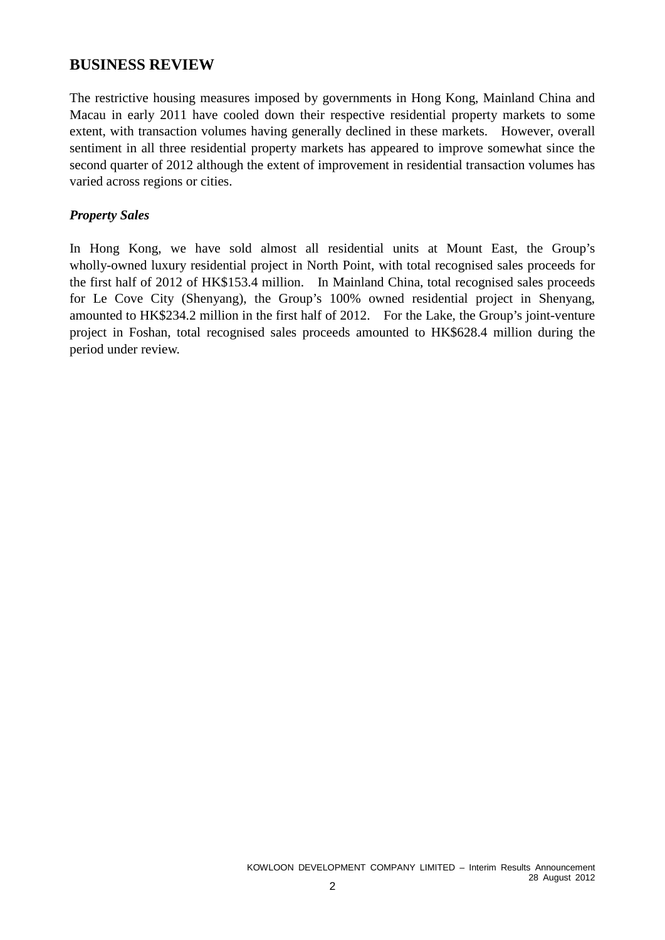## **BUSINESS REVIEW**

The restrictive housing measures imposed by governments in Hong Kong, Mainland China and Macau in early 2011 have cooled down their respective residential property markets to some extent, with transaction volumes having generally declined in these markets. However, overall sentiment in all three residential property markets has appeared to improve somewhat since the second quarter of 2012 although the extent of improvement in residential transaction volumes has varied across regions or cities.

## *Property Sales*

In Hong Kong, we have sold almost all residential units at Mount East, the Group's wholly-owned luxury residential project in North Point, with total recognised sales proceeds for the first half of 2012 of HK\$153.4 million. In Mainland China, total recognised sales proceeds for Le Cove City (Shenyang), the Group's 100% owned residential project in Shenyang, amounted to HK\$234.2 million in the first half of 2012. For the Lake, the Group's joint-venture project in Foshan, total recognised sales proceeds amounted to HK\$628.4 million during the period under review.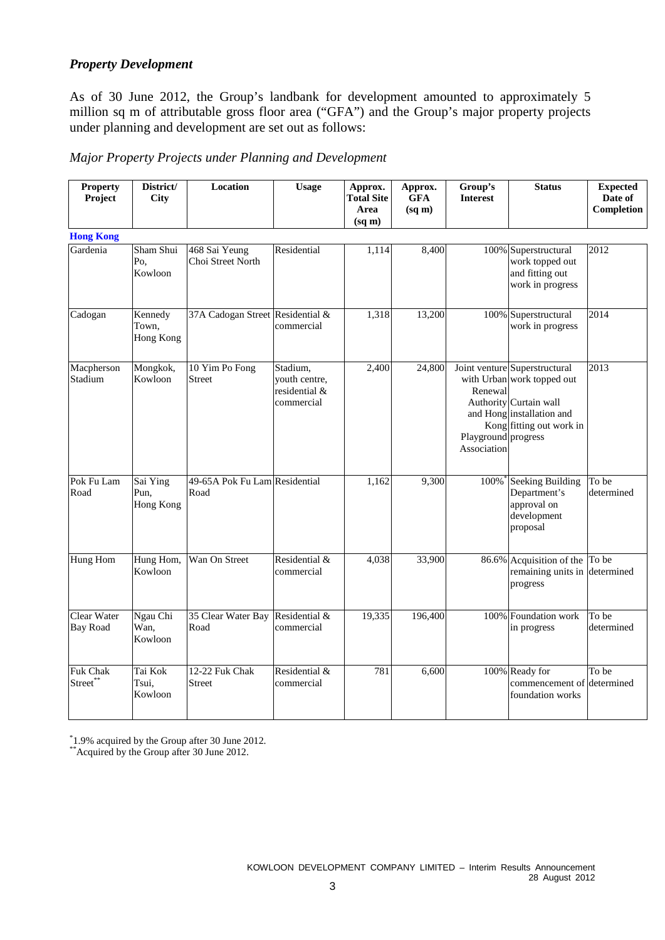## *Property Development*

As of 30 June 2012, the Group's landbank for development amounted to approximately 5 million sq m of attributable gross floor area ("GFA") and the Group's major property projects under planning and development are set out as follows:

### *Major Property Projects under Planning and Development*

| <b>Property</b><br>Project     | District/<br>City                    | Location                              | <b>Usage</b>                                             | Approx.<br><b>Total Site</b><br>Area<br>(sq m) | Approx.<br><b>GFA</b><br>$(sq \, \text{m})$ | Group's<br><b>Interest</b>                    | <b>Status</b>                                                                                                                                  | <b>Expected</b><br>Date of<br>Completion |
|--------------------------------|--------------------------------------|---------------------------------------|----------------------------------------------------------|------------------------------------------------|---------------------------------------------|-----------------------------------------------|------------------------------------------------------------------------------------------------------------------------------------------------|------------------------------------------|
| <b>Hong Kong</b>               |                                      |                                       |                                                          |                                                |                                             |                                               |                                                                                                                                                |                                          |
| Gardenia                       | Sham Shui<br>Po,<br>Kowloon          | 468 Sai Yeung<br>Choi Street North    | Residential                                              | 1,114                                          | 8,400                                       |                                               | 100% Superstructural<br>work topped out<br>and fitting out<br>work in progress                                                                 | 2012                                     |
| Cadogan                        | Kennedy<br>Town,<br>Hong Kong        | 37A Cadogan Street Residential &      | commercial                                               | 1,318                                          | 13,200                                      |                                               | 100% Superstructural<br>work in progress                                                                                                       | 2014                                     |
| Macpherson<br>Stadium          | Mongkok,<br>Kowloon                  | 10 Yim Po Fong<br><b>Street</b>       | Stadium,<br>youth centre,<br>residential &<br>commercial | 2,400                                          | 24,800                                      | Renewal<br>Playground progress<br>Association | Joint venture Superstructural<br>with Urban work topped out<br>Authority Curtain wall<br>and Hong installation and<br>Kong fitting out work in | 2013                                     |
| Pok Fu Lam<br>Road             | Sai Ying<br>Pun.<br><b>Hong Kong</b> | 49-65A Pok Fu Lam Residential<br>Road |                                                          | 1,162                                          | 9,300                                       | 100%                                          | Seeking Building<br>Department's<br>approval on<br>development<br>proposal                                                                     | To be<br>determined                      |
| <b>Hung Hom</b>                | Hung Hom,<br>Kowloon                 | Wan On Street                         | Residential &<br>commercial                              | 4,038                                          | 33,900                                      |                                               | 86.6% Acquisition of the To be<br>remaining units in determined<br>progress                                                                    |                                          |
| Clear Water<br><b>Bay Road</b> | Ngau Chi<br>Wan.<br>Kowloon          | 35 Clear Water Bay<br>Road            | Residential &<br>commercial                              | 19,335                                         | 196,400                                     |                                               | 100% Foundation work<br>in progress                                                                                                            | To be<br>determined                      |
| Fuk Chak<br>Street**           | Tai Kok<br>Tsui,<br>Kowloon          | 12-22 Fuk Chak<br><b>Street</b>       | Residential &<br>commercial                              | 781                                            | 6,600                                       |                                               | 100% Ready for<br>commencement of determined<br>foundation works                                                                               | To be                                    |

\* 1.9% acquired by the Group after 30 June 2012. \*\*Acquired by the Group after 30 June 2012.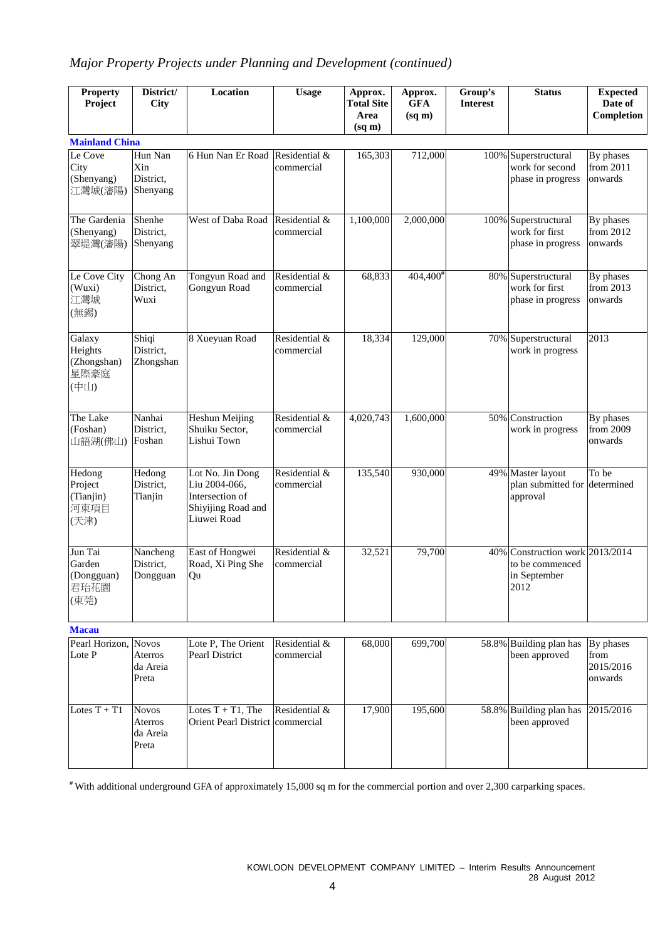## *Major Property Projects under Planning and Development (continued)*

| <b>Property</b><br>Project                       | District/<br><b>City</b>                     | Location                                                                                  | <b>Usage</b>                | Approx.<br><b>Total Site</b><br>Area<br>$(sq \, \text{m})$ | Approx.<br><b>GFA</b><br>$(sq \, \text{m})$ | Group's<br><b>Interest</b> | <b>Status</b>                                                              | <b>Expected</b><br>Date of<br>Completion  |
|--------------------------------------------------|----------------------------------------------|-------------------------------------------------------------------------------------------|-----------------------------|------------------------------------------------------------|---------------------------------------------|----------------------------|----------------------------------------------------------------------------|-------------------------------------------|
| <b>Mainland China</b>                            |                                              |                                                                                           |                             |                                                            |                                             |                            |                                                                            |                                           |
| Le Cove<br>City<br>(Shenyang)<br>江灣城(瀋陽)         | Hun Nan<br>Xin<br>District,<br>Shenyang      | 6 Hun Nan Er Road                                                                         | Residential &<br>commercial | 165,303                                                    | 712,000                                     |                            | 100% Superstructural<br>work for second<br>phase in progress               | By phases<br>from 2011<br>onwards         |
| The Gardenia<br>(Shenyang)<br>翠堤灣(瀋陽)            | Shenhe<br>District,<br>Shenyang              | West of Daba Road                                                                         | Residential &<br>commercial | 1,100,000                                                  | 2,000,000                                   |                            | 100% Superstructural<br>work for first<br>phase in progress                | By phases<br>from 2012<br>onwards         |
| Le Cove City<br>(Wuxi)<br>江灣城<br>(無錫)            | Chong An<br>District,<br>Wuxi                | Tongyun Road and<br>Gongyun Road                                                          | Residential &<br>commercial | 68,833                                                     | $404,400^{\text{*}}$                        |                            | 80% Superstructural<br>work for first<br>phase in progress                 | By phases<br>from 2013<br>onwards         |
| Galaxy<br>Heights<br>(Zhongshan)<br>星際豪庭<br>(中山) | Shiqi<br>District,<br>Zhongshan              | 8 Xueyuan Road                                                                            | Residential &<br>commercial | 18,334                                                     | 129,000                                     |                            | 70% Superstructural<br>work in progress                                    | 2013                                      |
| The Lake<br>(Foshan)<br>山語湖(佛山)                  | Nanhai<br>District,<br>Foshan                | Heshun Meijing<br>Shuiku Sector,<br>Lishui Town                                           | Residential &<br>commercial | 4,020,743                                                  | 1,600,000                                   |                            | 50% Construction<br>work in progress                                       | By phases<br>from 2009<br>onwards         |
| Hedong<br>Project<br>(Tianjin)<br>河東項目<br>(天津)   | Hedong<br>District,<br>Tianjin               | Lot No. Jin Dong<br>Liu 2004-066,<br>Intersection of<br>Shiyijing Road and<br>Liuwei Road | Residential &<br>commercial | 135,540                                                    | 930,000                                     |                            | 49% Master layout<br>plan submitted for determined<br>approval             | To be                                     |
| Jun Tai<br>Garden<br>(Dongguan)<br>君珆花園<br>(東莞)  | Nancheng<br>District,<br>Dongguan            | East of Hongwei<br>Road, Xi Ping She<br>Qu                                                | Residential &<br>commercial | 32,521                                                     | 79,700                                      |                            | 40% Construction work 2013/2014<br>to be commenced<br>in September<br>2012 |                                           |
| <b>Macau</b>                                     |                                              |                                                                                           |                             |                                                            |                                             |                            |                                                                            |                                           |
| Pearl Horizon,<br>Lote P                         | <b>Novos</b><br>Aterros<br>da Areia<br>Preta | Lote P, The Orient<br>Pearl District                                                      | Residential &<br>commercial | 68,000                                                     | 699,700                                     |                            | 58.8% Building plan has<br>been approved                                   | By phases<br>from<br>2015/2016<br>onwards |
| Lotes $T + T1$                                   | <b>Novos</b><br>Aterros<br>da Areia<br>Preta | Lotes $T + T1$ , The<br>Orient Pearl District commercial                                  | Residential &               | 17,900                                                     | 195,600                                     |                            | 58.8% Building plan has<br>been approved                                   | 2015/2016                                 |

# With additional underground GFA of approximately 15,000 sq m for the commercial portion and over 2,300 carparking spaces.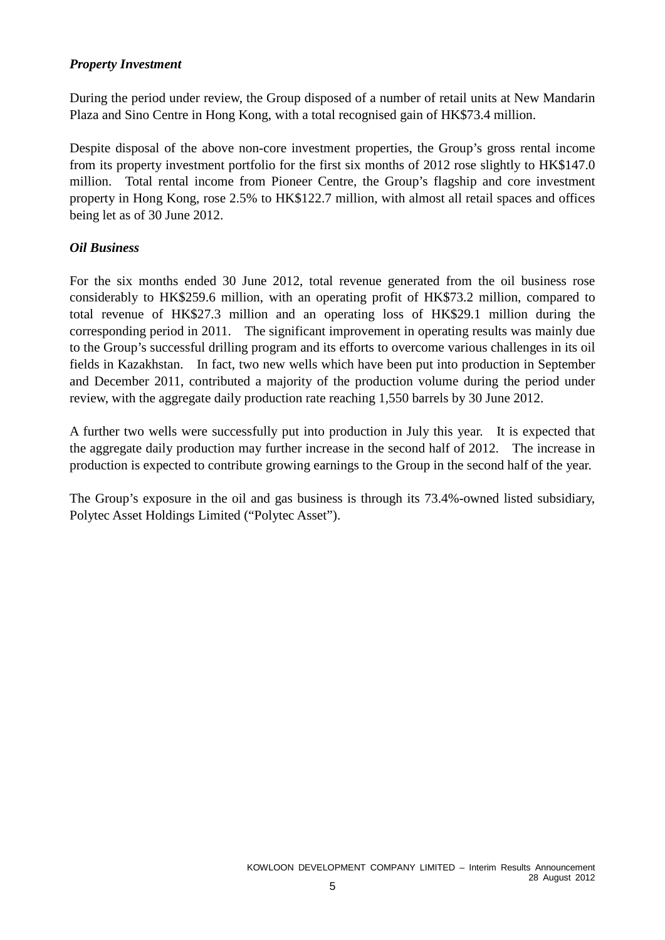## *Property Investment*

During the period under review, the Group disposed of a number of retail units at New Mandarin Plaza and Sino Centre in Hong Kong, with a total recognised gain of HK\$73.4 million.

Despite disposal of the above non-core investment properties, the Group's gross rental income from its property investment portfolio for the first six months of 2012 rose slightly to HK\$147.0 million. Total rental income from Pioneer Centre, the Group's flagship and core investment property in Hong Kong, rose 2.5% to HK\$122.7 million, with almost all retail spaces and offices being let as of 30 June 2012.

## *Oil Business*

For the six months ended 30 June 2012, total revenue generated from the oil business rose considerably to HK\$259.6 million, with an operating profit of HK\$73.2 million, compared to total revenue of HK\$27.3 million and an operating loss of HK\$29.1 million during the corresponding period in 2011. The significant improvement in operating results was mainly due to the Group's successful drilling program and its efforts to overcome various challenges in its oil fields in Kazakhstan. In fact, two new wells which have been put into production in September and December 2011, contributed a majority of the production volume during the period under review, with the aggregate daily production rate reaching 1,550 barrels by 30 June 2012.

A further two wells were successfully put into production in July this year. It is expected that the aggregate daily production may further increase in the second half of 2012. The increase in production is expected to contribute growing earnings to the Group in the second half of the year.

The Group's exposure in the oil and gas business is through its 73.4%-owned listed subsidiary, Polytec Asset Holdings Limited ("Polytec Asset").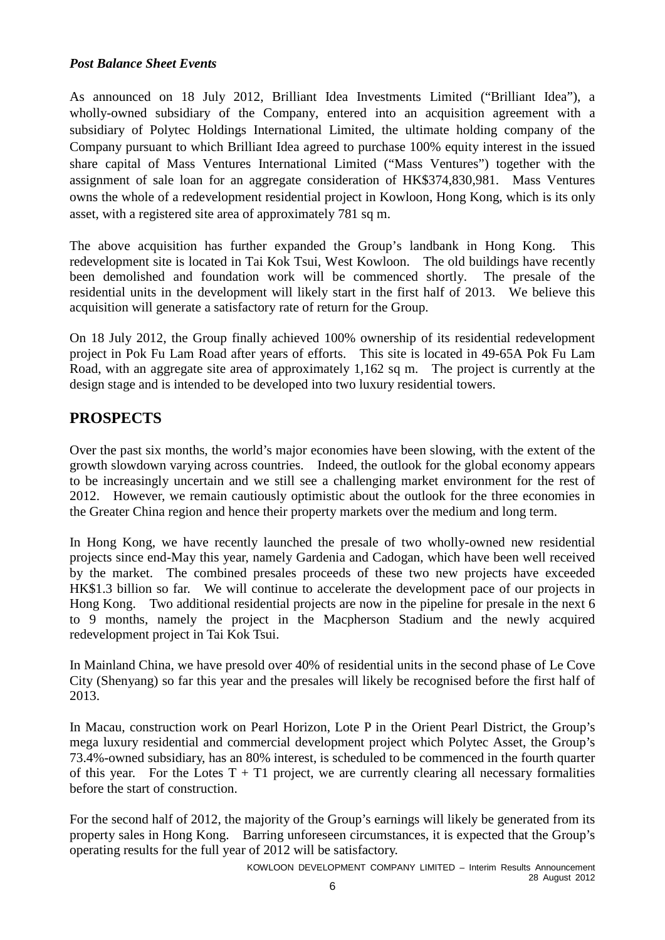## *Post Balance Sheet Events*

As announced on 18 July 2012, Brilliant Idea Investments Limited ("Brilliant Idea"), a wholly-owned subsidiary of the Company, entered into an acquisition agreement with a subsidiary of Polytec Holdings International Limited, the ultimate holding company of the Company pursuant to which Brilliant Idea agreed to purchase 100% equity interest in the issued share capital of Mass Ventures International Limited ("Mass Ventures") together with the assignment of sale loan for an aggregate consideration of HK\$374,830,981. Mass Ventures owns the whole of a redevelopment residential project in Kowloon, Hong Kong, which is its only asset, with a registered site area of approximately 781 sq m.

The above acquisition has further expanded the Group's landbank in Hong Kong. This redevelopment site is located in Tai Kok Tsui, West Kowloon. The old buildings have recently been demolished and foundation work will be commenced shortly. The presale of the residential units in the development will likely start in the first half of 2013. We believe this acquisition will generate a satisfactory rate of return for the Group.

On 18 July 2012, the Group finally achieved 100% ownership of its residential redevelopment project in Pok Fu Lam Road after years of efforts. This site is located in 49-65A Pok Fu Lam Road, with an aggregate site area of approximately 1,162 sq m. The project is currently at the design stage and is intended to be developed into two luxury residential towers.

## **PROSPECTS**

Over the past six months, the world's major economies have been slowing, with the extent of the growth slowdown varying across countries. Indeed, the outlook for the global economy appears to be increasingly uncertain and we still see a challenging market environment for the rest of 2012. However, we remain cautiously optimistic about the outlook for the three economies in the Greater China region and hence their property markets over the medium and long term.

In Hong Kong, we have recently launched the presale of two wholly-owned new residential projects since end-May this year, namely Gardenia and Cadogan, which have been well received by the market. The combined presales proceeds of these two new projects have exceeded HK\$1.3 billion so far. We will continue to accelerate the development pace of our projects in Hong Kong. Two additional residential projects are now in the pipeline for presale in the next 6 to 9 months, namely the project in the Macpherson Stadium and the newly acquired redevelopment project in Tai Kok Tsui.

In Mainland China, we have presold over 40% of residential units in the second phase of Le Cove City (Shenyang) so far this year and the presales will likely be recognised before the first half of 2013.

In Macau, construction work on Pearl Horizon, Lote P in the Orient Pearl District, the Group's mega luxury residential and commercial development project which Polytec Asset, the Group's 73.4%-owned subsidiary, has an 80% interest, is scheduled to be commenced in the fourth quarter of this year. For the Lotes  $T + T1$  project, we are currently clearing all necessary formalities before the start of construction.

For the second half of 2012, the majority of the Group's earnings will likely be generated from its property sales in Hong Kong. Barring unforeseen circumstances, it is expected that the Group's operating results for the full year of 2012 will be satisfactory.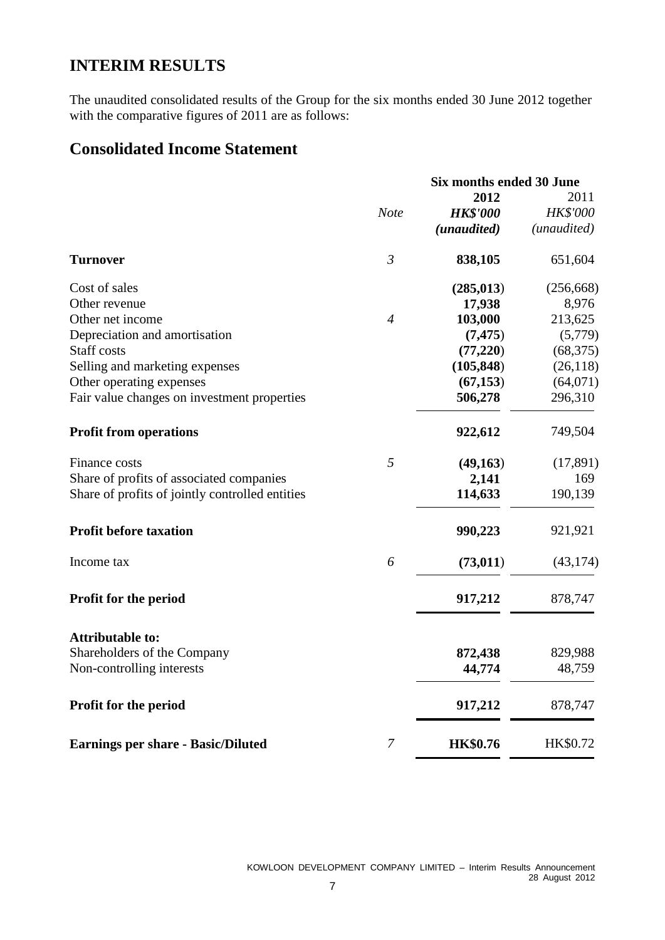## **INTERIM RESULTS**

The unaudited consolidated results of the Group for the six months ended 30 June 2012 together with the comparative figures of 2011 are as follows:

## **Consolidated Income Statement**

|                                                 | Six months ended 30 June |                 |             |  |
|-------------------------------------------------|--------------------------|-----------------|-------------|--|
|                                                 |                          | 2012            | 2011        |  |
|                                                 | <b>Note</b>              | <b>HK\$'000</b> | HK\$'000    |  |
|                                                 |                          | (unaudited)     | (unaudited) |  |
| <b>Turnover</b>                                 | $\mathfrak{Z}$           | 838,105         | 651,604     |  |
| Cost of sales                                   |                          | (285, 013)      | (256, 668)  |  |
| Other revenue                                   |                          | 17,938          | 8,976       |  |
| Other net income                                | $\overline{4}$           | 103,000         | 213,625     |  |
| Depreciation and amortisation                   |                          | (7, 475)        | (5,779)     |  |
| Staff costs                                     |                          | (77,220)        | (68, 375)   |  |
| Selling and marketing expenses                  |                          | (105, 848)      | (26, 118)   |  |
| Other operating expenses                        |                          | (67, 153)       | (64,071)    |  |
| Fair value changes on investment properties     |                          | 506,278         | 296,310     |  |
| <b>Profit from operations</b>                   |                          | 922,612         | 749,504     |  |
| Finance costs                                   | 5                        | (49,163)        | (17, 891)   |  |
| Share of profits of associated companies        |                          | 2,141           | 169         |  |
| Share of profits of jointly controlled entities |                          | 114,633         | 190,139     |  |
| <b>Profit before taxation</b>                   |                          | 990,223         | 921,921     |  |
| Income tax                                      | 6                        | (73, 011)       | (43, 174)   |  |
| Profit for the period                           |                          | 917,212         | 878,747     |  |
| <b>Attributable to:</b>                         |                          |                 |             |  |
| Shareholders of the Company                     |                          | 872,438         | 829,988     |  |
| Non-controlling interests                       |                          | 44,774          | 48,759      |  |
| Profit for the period                           |                          | 917,212         | 878,747     |  |
| <b>Earnings per share - Basic/Diluted</b>       | 7                        | <b>HK\$0.76</b> | HK\$0.72    |  |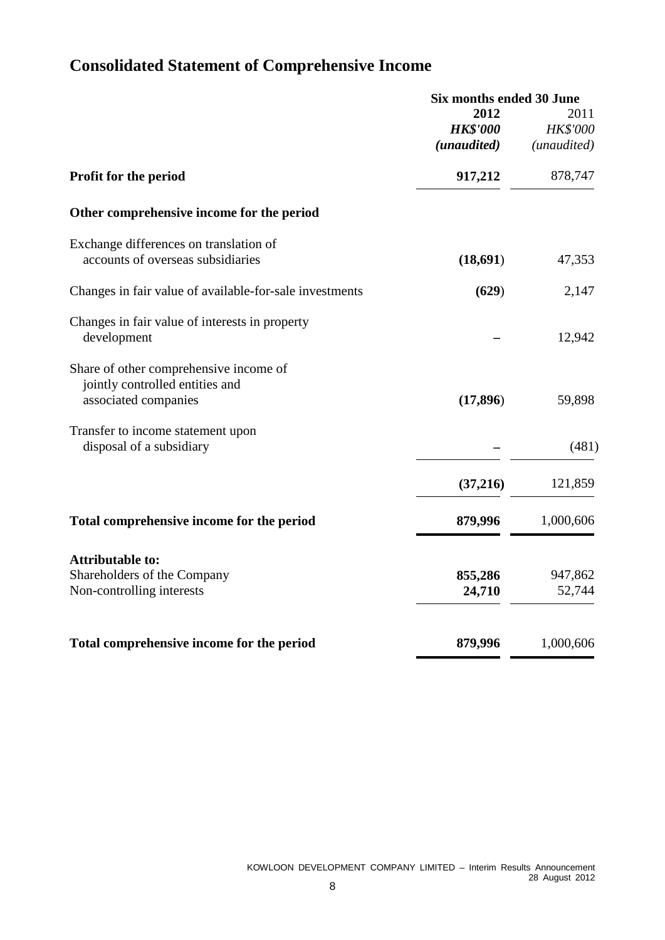# **Consolidated Statement of Comprehensive Income**

|                                                         | Six months ended 30 June |                      |  |
|---------------------------------------------------------|--------------------------|----------------------|--|
|                                                         | 2012                     | 2011                 |  |
|                                                         | <b>HK\$'000</b>          | <b>HK\$'000</b>      |  |
|                                                         | (unaudited)              | ( <i>unaudited</i> ) |  |
| Profit for the period                                   | 917,212                  | 878,747              |  |
| Other comprehensive income for the period               |                          |                      |  |
| Exchange differences on translation of                  |                          |                      |  |
| accounts of overseas subsidiaries                       | (18,691)                 | 47,353               |  |
| Changes in fair value of available-for-sale investments | (629)                    | 2,147                |  |
| Changes in fair value of interests in property          |                          |                      |  |
| development                                             |                          | 12,942               |  |
| Share of other comprehensive income of                  |                          |                      |  |
| jointly controlled entities and                         |                          |                      |  |
| associated companies                                    | (17, 896)                | 59,898               |  |
| Transfer to income statement upon                       |                          |                      |  |
| disposal of a subsidiary                                |                          | (481)                |  |
|                                                         | (37,216)                 | 121,859              |  |
|                                                         |                          |                      |  |
| Total comprehensive income for the period               | 879,996                  | 1,000,606            |  |
| <b>Attributable to:</b>                                 |                          |                      |  |
| Shareholders of the Company                             | 855,286                  | 947,862              |  |
| Non-controlling interests                               | 24,710                   | 52,744               |  |
|                                                         |                          |                      |  |
| Total comprehensive income for the period               | 879,996                  | 1,000,606            |  |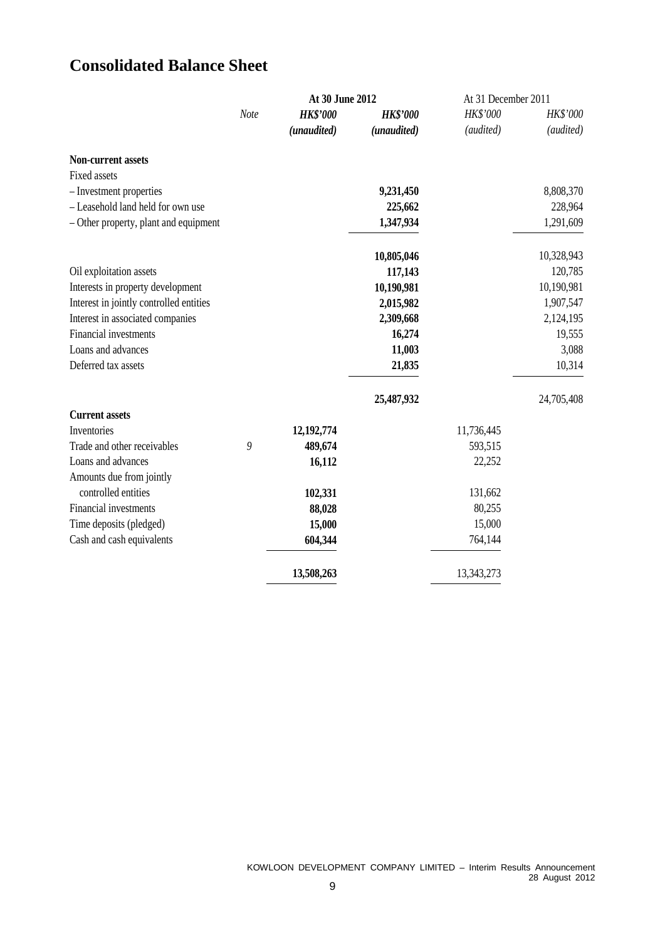## **Consolidated Balance Sheet**

|                                         | At 30 June 2012 |                 |                 | At 31 December 2011 |            |
|-----------------------------------------|-----------------|-----------------|-----------------|---------------------|------------|
|                                         | Note            | <b>HK\$'000</b> | <b>HK\$'000</b> | HK\$'000            | HK\$'000   |
|                                         |                 | (unaudited)     | (unaudited)     | (audited)           | (audited)  |
| <b>Non-current assets</b>               |                 |                 |                 |                     |            |
| <b>Fixed assets</b>                     |                 |                 |                 |                     |            |
| - Investment properties                 |                 |                 | 9,231,450       |                     | 8,808,370  |
| - Leasehold land held for own use       |                 |                 | 225,662         |                     | 228,964    |
| - Other property, plant and equipment   |                 |                 | 1,347,934       |                     | 1,291,609  |
|                                         |                 |                 | 10,805,046      |                     | 10,328,943 |
| Oil exploitation assets                 |                 |                 | 117,143         |                     | 120,785    |
| Interests in property development       |                 |                 | 10,190,981      |                     | 10,190,981 |
| Interest in jointly controlled entities |                 |                 | 2,015,982       |                     | 1,907,547  |
| Interest in associated companies        |                 |                 | 2,309,668       |                     | 2,124,195  |
| Financial investments                   |                 |                 | 16,274          |                     | 19,555     |
| Loans and advances                      |                 |                 | 11,003          |                     | 3,088      |
| Deferred tax assets                     |                 |                 | 21,835          |                     | 10,314     |
|                                         |                 |                 | 25,487,932      |                     | 24,705,408 |
| <b>Current assets</b>                   |                 |                 |                 |                     |            |
| Inventories                             |                 | 12,192,774      |                 | 11,736,445          |            |
| Trade and other receivables             | 9               | 489,674         |                 | 593,515             |            |
| Loans and advances                      |                 | 16,112          |                 | 22,252              |            |
| Amounts due from jointly                |                 |                 |                 |                     |            |
| controlled entities                     |                 | 102,331         |                 | 131,662             |            |
| Financial investments                   |                 | 88,028          |                 | 80,255              |            |
| Time deposits (pledged)                 |                 | 15,000          |                 | 15,000              |            |
| Cash and cash equivalents               |                 | 604,344         |                 | 764,144             |            |
|                                         |                 | 13,508,263      |                 | 13,343,273          |            |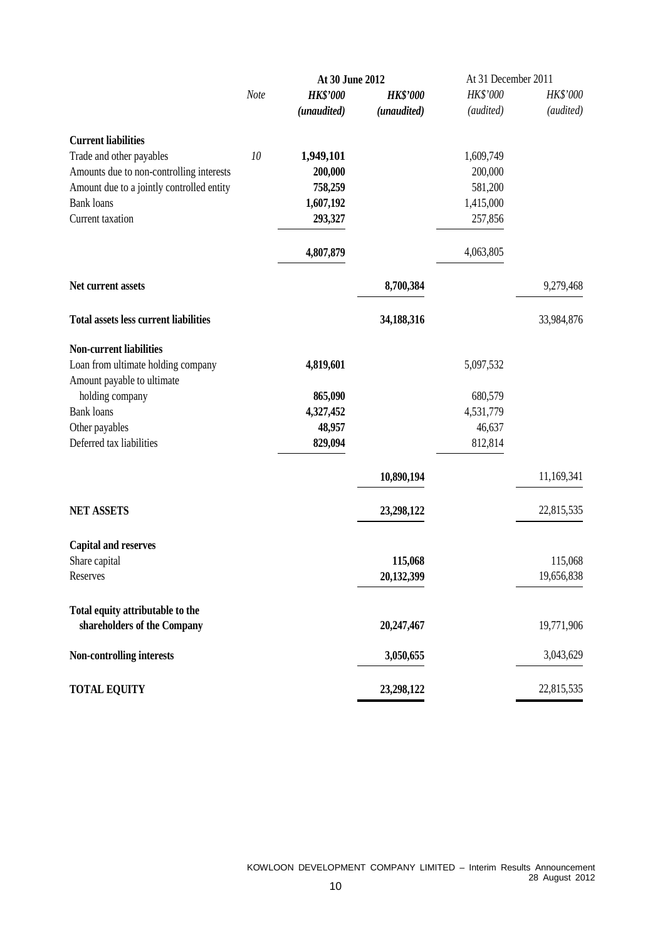|                                                                  |      | At 30 June 2012 |                 | At 31 December 2011 |            |  |
|------------------------------------------------------------------|------|-----------------|-----------------|---------------------|------------|--|
|                                                                  | Note | <b>HK\$'000</b> | <b>HK\$'000</b> | HK\$'000            | HK\$'000   |  |
|                                                                  |      | (unaudited)     | (unaudited)     | (audited)           | (audited)  |  |
| <b>Current liabilities</b>                                       |      |                 |                 |                     |            |  |
| Trade and other payables                                         | 10   | 1,949,101       |                 | 1,609,749           |            |  |
| Amounts due to non-controlling interests                         |      | 200,000         |                 | 200,000             |            |  |
| Amount due to a jointly controlled entity                        |      | 758,259         |                 | 581,200             |            |  |
| <b>Bank</b> loans                                                |      | 1,607,192       |                 | 1,415,000           |            |  |
| Current taxation                                                 |      | 293,327         |                 | 257,856             |            |  |
|                                                                  |      | 4,807,879       |                 | 4,063,805           |            |  |
| Net current assets                                               |      |                 | 8,700,384       |                     | 9,279,468  |  |
| <b>Total assets less current liabilities</b>                     |      |                 | 34,188,316      |                     | 33,984,876 |  |
| <b>Non-current liabilities</b>                                   |      |                 |                 |                     |            |  |
| Loan from ultimate holding company<br>Amount payable to ultimate |      | 4,819,601       |                 | 5,097,532           |            |  |
| holding company                                                  |      | 865,090         |                 | 680,579             |            |  |
| <b>Bank</b> loans                                                |      | 4,327,452       |                 | 4,531,779           |            |  |
| Other payables                                                   |      | 48,957          |                 | 46,637              |            |  |
| Deferred tax liabilities                                         |      | 829,094         |                 | 812,814             |            |  |
|                                                                  |      |                 | 10,890,194      |                     | 11,169,341 |  |
| <b>NET ASSETS</b>                                                |      |                 | 23,298,122      |                     | 22,815,535 |  |
| <b>Capital and reserves</b>                                      |      |                 |                 |                     |            |  |
| Share capital                                                    |      |                 | 115,068         |                     | 115,068    |  |
| Reserves                                                         |      |                 | 20,132,399      |                     | 19,656,838 |  |
| Total equity attributable to the                                 |      |                 |                 |                     |            |  |
| shareholders of the Company                                      |      |                 | 20,247,467      |                     | 19,771,906 |  |
| Non-controlling interests                                        |      |                 | 3,050,655       |                     | 3,043,629  |  |
| <b>TOTAL EQUITY</b>                                              |      |                 | 23,298,122      |                     | 22,815,535 |  |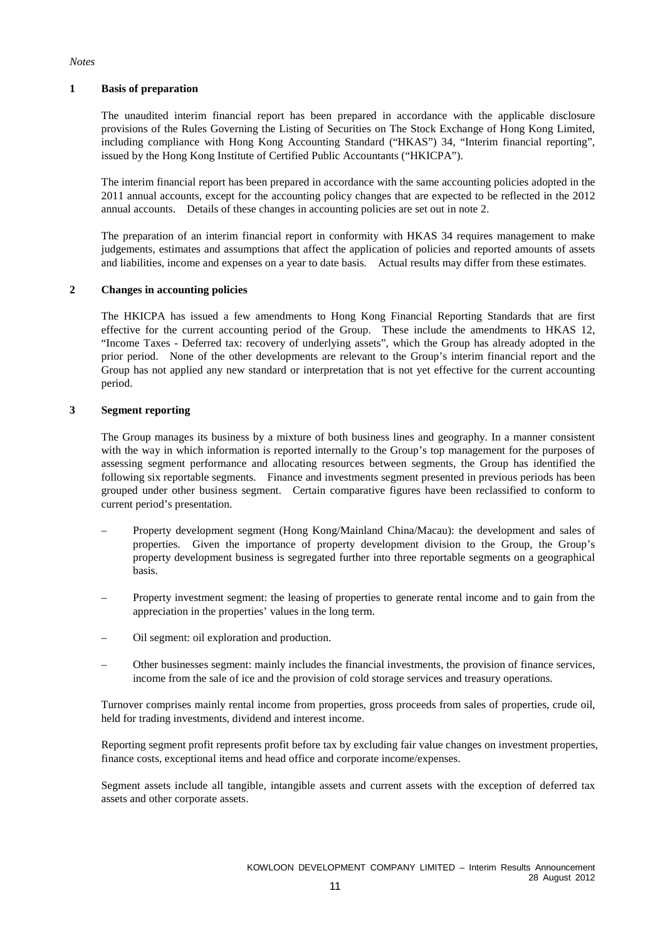#### *Notes*

#### **1 Basis of preparation**

The unaudited interim financial report has been prepared in accordance with the applicable disclosure provisions of the Rules Governing the Listing of Securities on The Stock Exchange of Hong Kong Limited, including compliance with Hong Kong Accounting Standard ("HKAS") 34, "Interim financial reporting", issued by the Hong Kong Institute of Certified Public Accountants ("HKICPA").

The interim financial report has been prepared in accordance with the same accounting policies adopted in the 2011 annual accounts, except for the accounting policy changes that are expected to be reflected in the 2012 annual accounts. Details of these changes in accounting policies are set out in note 2.

The preparation of an interim financial report in conformity with HKAS 34 requires management to make judgements, estimates and assumptions that affect the application of policies and reported amounts of assets and liabilities, income and expenses on a year to date basis. Actual results may differ from these estimates.

#### **2 Changes in accounting policies**

The HKICPA has issued a few amendments to Hong Kong Financial Reporting Standards that are first effective for the current accounting period of the Group. These include the amendments to HKAS 12, "Income Taxes - Deferred tax: recovery of underlying assets", which the Group has already adopted in the prior period. None of the other developments are relevant to the Group's interim financial report and the Group has not applied any new standard or interpretation that is not yet effective for the current accounting period.

#### **3 Segment reporting**

The Group manages its business by a mixture of both business lines and geography. In a manner consistent with the way in which information is reported internally to the Group's top management for the purposes of assessing segment performance and allocating resources between segments, the Group has identified the following six reportable segments. Finance and investments segment presented in previous periods has been grouped under other business segment. Certain comparative figures have been reclassified to conform to current period's presentation.

- Property development segment (Hong Kong/Mainland China/Macau): the development and sales of properties. Given the importance of property development division to the Group, the Group's property development business is segregated further into three reportable segments on a geographical basis.
- Property investment segment: the leasing of properties to generate rental income and to gain from the appreciation in the properties' values in the long term.
- Oil segment: oil exploration and production.
- Other businesses segment: mainly includes the financial investments, the provision of finance services, income from the sale of ice and the provision of cold storage services and treasury operations.

Turnover comprises mainly rental income from properties, gross proceeds from sales of properties, crude oil, held for trading investments, dividend and interest income.

Reporting segment profit represents profit before tax by excluding fair value changes on investment properties, finance costs, exceptional items and head office and corporate income/expenses.

Segment assets include all tangible, intangible assets and current assets with the exception of deferred tax assets and other corporate assets.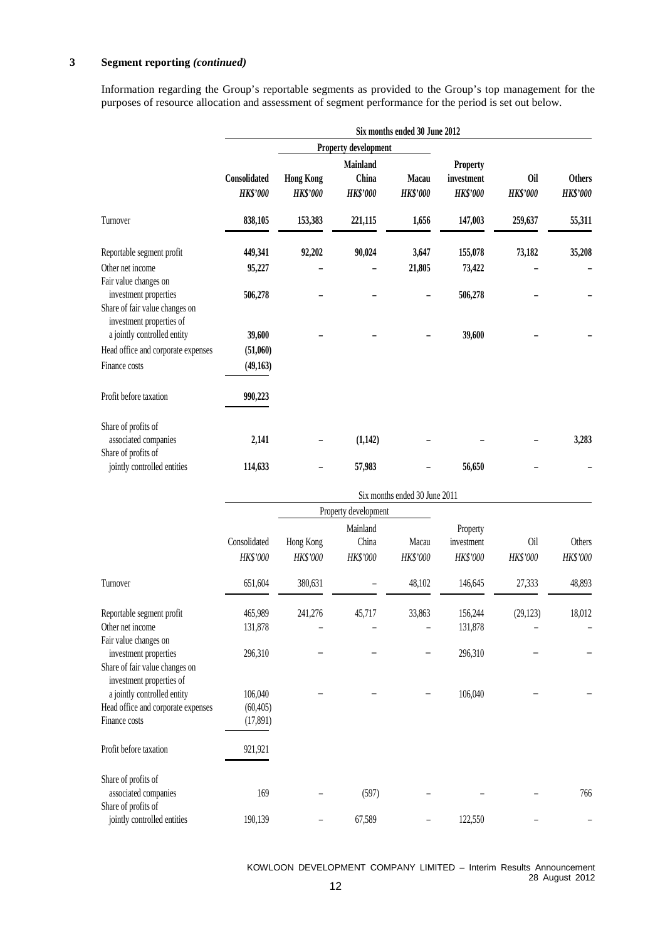### **3 Segment reporting** *(continued)*

Information regarding the Group's reportable segments as provided to the Group's top management for the purposes of resource allocation and assessment of segment performance for the period is set out below.

|                                                                                                              | Six months ended 30 June 2012   |                                     |                                             |                                 |                                                  |                        |                                  |  |
|--------------------------------------------------------------------------------------------------------------|---------------------------------|-------------------------------------|---------------------------------------------|---------------------------------|--------------------------------------------------|------------------------|----------------------------------|--|
|                                                                                                              |                                 |                                     | Property development                        |                                 |                                                  |                        |                                  |  |
|                                                                                                              | Consolidated<br><b>HK\$'000</b> | <b>Hong Kong</b><br><b>HK\$'000</b> | <b>Mainland</b><br>China<br><b>HK\$'000</b> | <b>Macau</b><br><b>HK\$'000</b> | <b>Property</b><br>investment<br><b>HK\$'000</b> | Oil<br><b>HK\$'000</b> | <b>Others</b><br><b>HK\$'000</b> |  |
| Turnover                                                                                                     | 838,105                         | 153,383                             | 221,115                                     | 1,656                           | 147,003                                          | 259,637                | 55,311                           |  |
| Reportable segment profit                                                                                    | 449,341                         | 92,202                              | 90,024                                      | 3,647                           | 155,078                                          | 73,182                 | 35,208                           |  |
| Other net income                                                                                             | 95,227                          |                                     |                                             | 21,805                          | 73,422                                           |                        |                                  |  |
| Fair value changes on<br>investment properties<br>Share of fair value changes on<br>investment properties of | 506,278                         |                                     |                                             |                                 | 506,278                                          |                        |                                  |  |
| a jointly controlled entity                                                                                  | 39,600                          |                                     |                                             |                                 | 39,600                                           |                        |                                  |  |
| Head office and corporate expenses                                                                           | (51,060)                        |                                     |                                             |                                 |                                                  |                        |                                  |  |
| Finance costs                                                                                                | (49,163)                        |                                     |                                             |                                 |                                                  |                        |                                  |  |
| Profit before taxation                                                                                       | 990,223                         |                                     |                                             |                                 |                                                  |                        |                                  |  |
| Share of profits of<br>associated companies<br>Share of profits of                                           | 2,141                           |                                     | (1,142)                                     |                                 |                                                  |                        | 3,283                            |  |
| jointly controlled entities                                                                                  | 114,633                         |                                     | 57,983                                      |                                 | 56,650                                           |                        |                                  |  |

|                                                            |                          |                       |                               | Six months ended 30 June 2011 |                                    |                 |                    |
|------------------------------------------------------------|--------------------------|-----------------------|-------------------------------|-------------------------------|------------------------------------|-----------------|--------------------|
|                                                            |                          |                       | Property development          |                               |                                    |                 |                    |
|                                                            | Consolidated<br>HK\$'000 | Hong Kong<br>HK\$'000 | Mainland<br>China<br>HK\$'000 | Macau<br>HK\$'000             | Property<br>investment<br>HK\$'000 | Oil<br>HK\$'000 | Others<br>HK\$'000 |
| Turnover                                                   | 651,604                  | 380,631               |                               | 48,102                        | 146,645                            | 27,333          | 48,893             |
| Reportable segment profit                                  | 465,989                  | 241,276               | 45,717                        | 33,863                        | 156,244                            | (29, 123)       | 18,012             |
| Other net income                                           | 131,878                  |                       |                               |                               | 131,878                            |                 |                    |
| Fair value changes on<br>investment properties             | 296,310                  |                       |                               |                               | 296,310                            |                 |                    |
| Share of fair value changes on<br>investment properties of |                          |                       |                               |                               |                                    |                 |                    |
| a jointly controlled entity                                | 106,040                  |                       |                               |                               | 106,040                            |                 |                    |
| Head office and corporate expenses                         | (60, 405)                |                       |                               |                               |                                    |                 |                    |
| Finance costs                                              | (17,891)                 |                       |                               |                               |                                    |                 |                    |
| Profit before taxation                                     | 921,921                  |                       |                               |                               |                                    |                 |                    |
| Share of profits of                                        |                          |                       |                               |                               |                                    |                 |                    |
| associated companies<br>Share of profits of                | 169                      |                       | (597)                         |                               |                                    |                 | 766                |
| jointly controlled entities                                | 190,139                  |                       | 67,589                        |                               | 122,550                            |                 |                    |

KOWLOON DEVELOPMENT COMPANY LIMITED – Interim Results Announcement 28 August 2012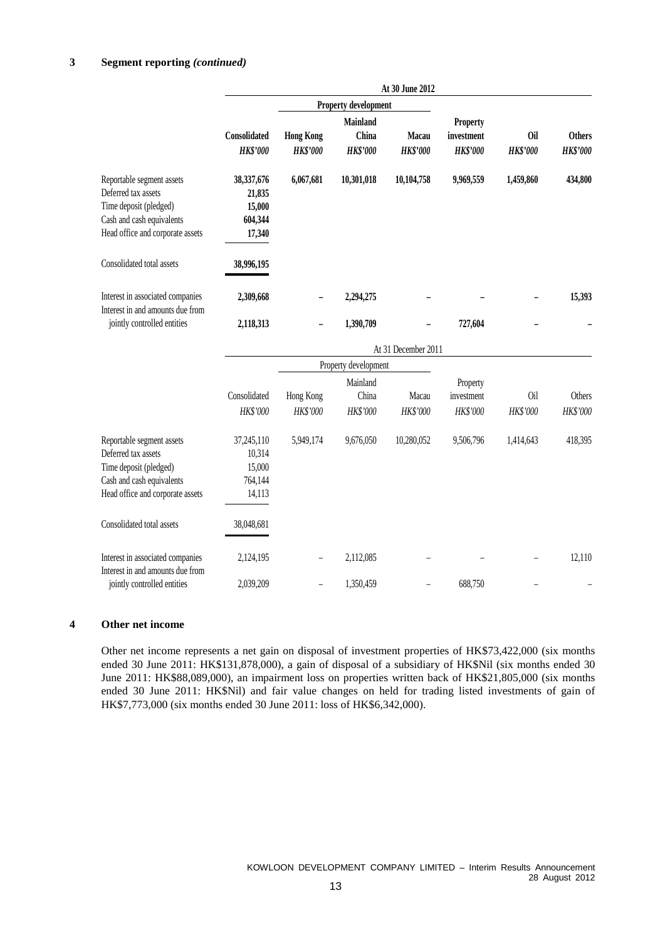### **3 Segment reporting** *(continued)*

|                                                                                                                                             |                                                     |                                     |                                      | At 30 June 2012                 |                                           |                               |                                  |
|---------------------------------------------------------------------------------------------------------------------------------------------|-----------------------------------------------------|-------------------------------------|--------------------------------------|---------------------------------|-------------------------------------------|-------------------------------|----------------------------------|
|                                                                                                                                             |                                                     |                                     | Property development                 |                                 |                                           |                               |                                  |
|                                                                                                                                             | Consolidated<br><b>HK\$'000</b>                     | <b>Hong Kong</b><br><b>HK\$'000</b> | Mainland<br>China<br><b>HK\$'000</b> | <b>Macau</b><br><b>HK\$'000</b> | Property<br>investment<br><b>HK\$'000</b> | <b>Oil</b><br><b>HK\$'000</b> | <b>Others</b><br><b>HK\$'000</b> |
| Reportable segment assets<br>Deferred tax assets<br>Time deposit (pledged)<br>Cash and cash equivalents<br>Head office and corporate assets | 38,337,676<br>21,835<br>15,000<br>604,344<br>17,340 | 6,067,681                           | 10,301,018                           | 10,104,758                      | 9,969,559                                 | 1,459,860                     | 434,800                          |
| Consolidated total assets                                                                                                                   | 38,996,195                                          |                                     |                                      |                                 |                                           |                               |                                  |
| Interest in associated companies<br>Interest in and amounts due from                                                                        | 2,309,668                                           |                                     | 2,294,275                            |                                 |                                           |                               | 15,393                           |
| jointly controlled entities                                                                                                                 | 2,118,313                                           |                                     | 1,390,709                            |                                 | 727,604                                   |                               |                                  |
|                                                                                                                                             |                                                     |                                     |                                      | At 31 December 2011             |                                           |                               |                                  |
|                                                                                                                                             |                                                     |                                     | Property development                 |                                 |                                           |                               |                                  |
|                                                                                                                                             |                                                     |                                     | Mainland                             |                                 | Property                                  |                               |                                  |
|                                                                                                                                             | Consolidated                                        | Hong Kong                           | China                                | Macau                           | investment                                | <b>Oil</b>                    | Others                           |
|                                                                                                                                             | HK\$'000                                            | HK\$'000                            | HK\$'000                             | HK\$'000                        | HK\$'000                                  | HK\$'000                      | HK\$'000                         |
| Reportable segment assets<br>Deferred tax assets<br>Time deposit (pledged)<br>Cash and cash equivalents<br>Head office and corporate assets | 37,245,110<br>10,314<br>15,000<br>764,144<br>14,113 | 5,949,174                           | 9,676,050                            | 10,280,052                      | 9,506,796                                 | 1,414,643                     | 418,395                          |
| Consolidated total assets                                                                                                                   | 38,048,681                                          |                                     |                                      |                                 |                                           |                               |                                  |
| Interest in associated companies<br>Interest in and amounts due from                                                                        | 2,124,195                                           |                                     | 2,112,085                            |                                 |                                           |                               | 12,110                           |
| jointly controlled entities                                                                                                                 | 2,039,209                                           |                                     | 1,350,459                            |                                 | 688,750                                   |                               |                                  |

#### **4 Other net income**

Other net income represents a net gain on disposal of investment properties of HK\$73,422,000 (six months ended 30 June 2011: HK\$131,878,000), a gain of disposal of a subsidiary of HK\$Nil (six months ended 30 June 2011: HK\$88,089,000), an impairment loss on properties written back of HK\$21,805,000 (six months ended 30 June 2011: HK\$Nil) and fair value changes on held for trading listed investments of gain of HK\$7,773,000 (six months ended 30 June 2011: loss of HK\$6,342,000).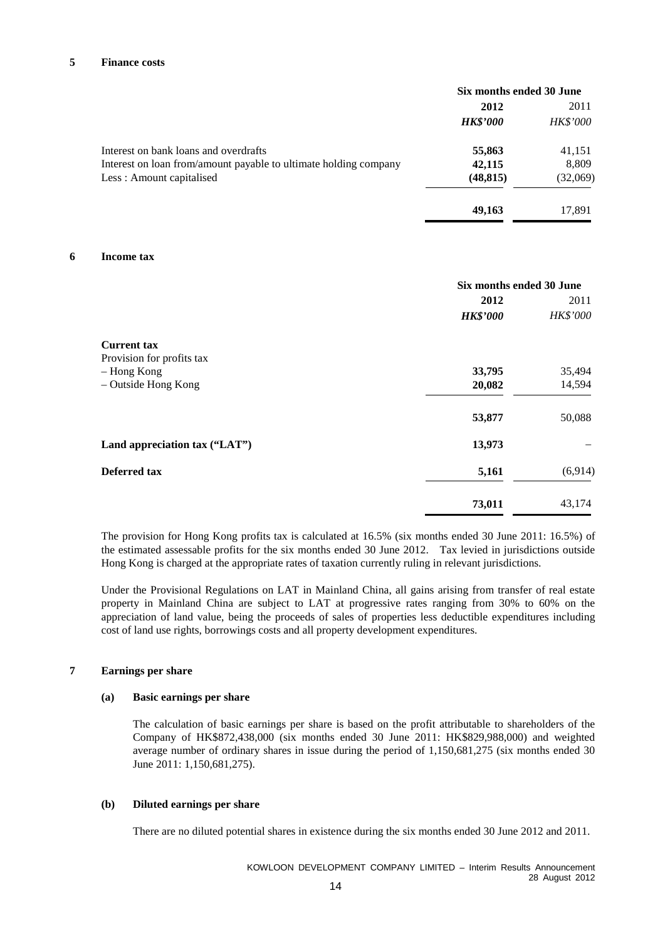#### **5 Finance costs**

|                                                                  | Six months ended 30 June |                 |  |
|------------------------------------------------------------------|--------------------------|-----------------|--|
|                                                                  | 2012                     | 2011            |  |
|                                                                  | <b>HK\$'000</b>          | <b>HK\$'000</b> |  |
| Interest on bank loans and overdrafts                            | 55,863                   | 41,151          |  |
| Interest on loan from/amount payable to ultimate holding company | 42,115                   | 8,809           |  |
| Less: Amount capitalised                                         | (48, 815)                | (32,069)        |  |
|                                                                  | 49,163                   | 17,891          |  |

#### **6 Income tax**

|                               | Six months ended 30 June |          |  |
|-------------------------------|--------------------------|----------|--|
|                               | 2012                     | 2011     |  |
|                               | <b>HK\$'000</b>          | HK\$'000 |  |
| <b>Current tax</b>            |                          |          |  |
| Provision for profits tax     |                          |          |  |
| - Hong Kong                   | 33,795                   | 35,494   |  |
| - Outside Hong Kong           | 20,082                   | 14,594   |  |
|                               | 53,877                   | 50,088   |  |
| Land appreciation tax ("LAT") | 13,973                   |          |  |
| Deferred tax                  | 5,161                    | (6,914)  |  |
|                               | 73,011                   | 43,174   |  |

The provision for Hong Kong profits tax is calculated at 16.5% (six months ended 30 June 2011: 16.5%) of the estimated assessable profits for the six months ended 30 June 2012. Tax levied in jurisdictions outside Hong Kong is charged at the appropriate rates of taxation currently ruling in relevant jurisdictions.

Under the Provisional Regulations on LAT in Mainland China, all gains arising from transfer of real estate property in Mainland China are subject to LAT at progressive rates ranging from 30% to 60% on the appreciation of land value, being the proceeds of sales of properties less deductible expenditures including cost of land use rights, borrowings costs and all property development expenditures.

#### **7 Earnings per share**

#### **(a) Basic earnings per share**

The calculation of basic earnings per share is based on the profit attributable to shareholders of the Company of HK\$872,438,000 (six months ended 30 June 2011: HK\$829,988,000) and weighted average number of ordinary shares in issue during the period of 1,150,681,275 (six months ended 30 June 2011: 1,150,681,275).

#### **(b) Diluted earnings per share**

There are no diluted potential shares in existence during the six months ended 30 June 2012 and 2011.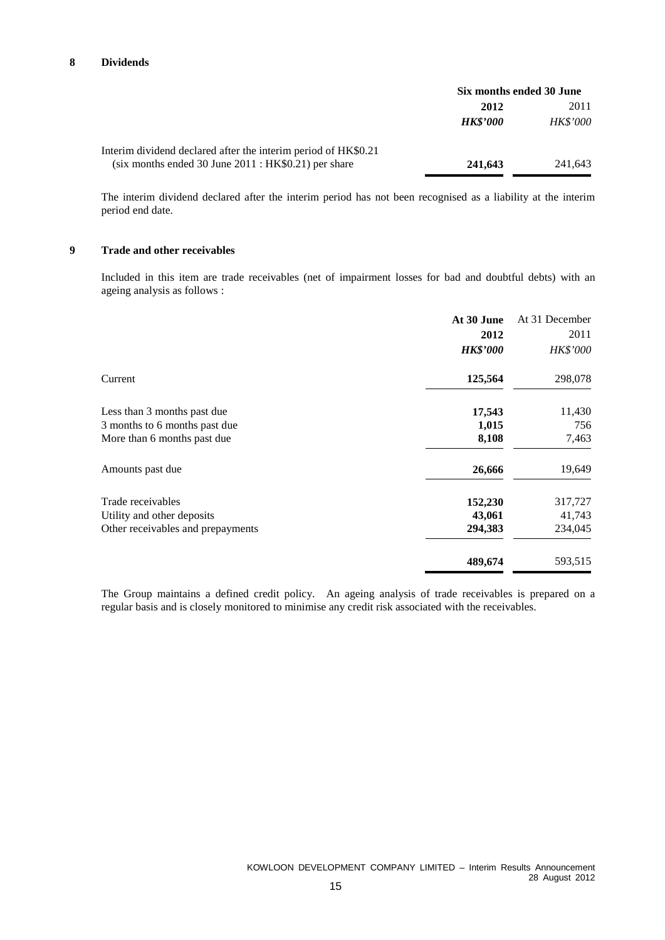#### **8 Dividends**

|                                                                |                 | Six months ended 30 June |  |  |
|----------------------------------------------------------------|-----------------|--------------------------|--|--|
|                                                                | 2012            | 2011                     |  |  |
|                                                                | <b>HK\$'000</b> | <i>HK\$'000</i>          |  |  |
| Interim dividend declared after the interim period of HK\$0.21 |                 |                          |  |  |
| $(six$ months ended 30 June 2011 : HK\$0.21) per share         | 241,643         | 241.643                  |  |  |

The interim dividend declared after the interim period has not been recognised as a liability at the interim period end date.

#### **9 Trade and other receivables**

Included in this item are trade receivables (net of impairment losses for bad and doubtful debts) with an ageing analysis as follows :

|                                   | At 30 June      | At 31 December  |
|-----------------------------------|-----------------|-----------------|
|                                   | 2012            | 2011            |
|                                   | <b>HK\$'000</b> | <i>HK\$'000</i> |
| Current                           | 125,564         | 298,078         |
| Less than 3 months past due       | 17,543          | 11,430          |
| 3 months to 6 months past due     | 1,015           | 756             |
| More than 6 months past due       | 8,108           | 7,463           |
| Amounts past due                  | 26,666          | 19,649          |
| Trade receivables                 | 152,230         | 317,727         |
| Utility and other deposits        | 43,061          | 41,743          |
| Other receivables and prepayments | 294,383         | 234,045         |
|                                   | 489,674         | 593,515         |

The Group maintains a defined credit policy. An ageing analysis of trade receivables is prepared on a regular basis and is closely monitored to minimise any credit risk associated with the receivables.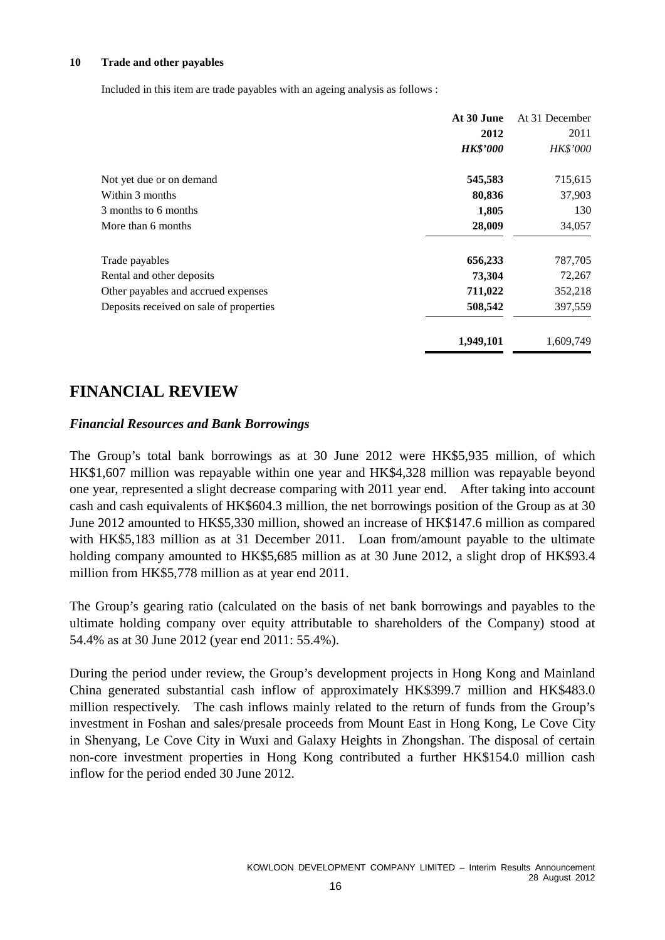#### **10 Trade and other payables**

Included in this item are trade payables with an ageing analysis as follows :

|                                         | At 30 June      | At 31 December |
|-----------------------------------------|-----------------|----------------|
|                                         | 2012            | 2011           |
|                                         | <b>HK\$'000</b> | HK\$'000       |
| Not yet due or on demand                | 545,583         | 715,615        |
| Within 3 months                         | 80,836          | 37,903         |
| 3 months to 6 months                    | 1,805           | 130            |
| More than 6 months                      | 28,009          | 34,057         |
| Trade payables                          | 656,233         | 787,705        |
| Rental and other deposits               | 73,304          | 72,267         |
| Other payables and accrued expenses     | 711,022         | 352,218        |
| Deposits received on sale of properties | 508,542         | 397,559        |
|                                         | 1,949,101       | 1,609,749      |

## **FINANCIAL REVIEW**

### *Financial Resources and Bank Borrowings*

The Group's total bank borrowings as at 30 June 2012 were HK\$5,935 million, of which HK\$1,607 million was repayable within one year and HK\$4,328 million was repayable beyond one year, represented a slight decrease comparing with 2011 year end. After taking into account cash and cash equivalents of HK\$604.3 million, the net borrowings position of the Group as at 30 June 2012 amounted to HK\$5,330 million, showed an increase of HK\$147.6 million as compared with HK\$5,183 million as at 31 December 2011. Loan from/amount payable to the ultimate holding company amounted to HK\$5,685 million as at 30 June 2012, a slight drop of HK\$93.4 million from HK\$5,778 million as at year end 2011.

The Group's gearing ratio (calculated on the basis of net bank borrowings and payables to the ultimate holding company over equity attributable to shareholders of the Company) stood at 54.4% as at 30 June 2012 (year end 2011: 55.4%).

During the period under review, the Group's development projects in Hong Kong and Mainland China generated substantial cash inflow of approximately HK\$399.7 million and HK\$483.0 million respectively. The cash inflows mainly related to the return of funds from the Group's investment in Foshan and sales/presale proceeds from Mount East in Hong Kong, Le Cove City in Shenyang, Le Cove City in Wuxi and Galaxy Heights in Zhongshan. The disposal of certain non-core investment properties in Hong Kong contributed a further HK\$154.0 million cash inflow for the period ended 30 June 2012.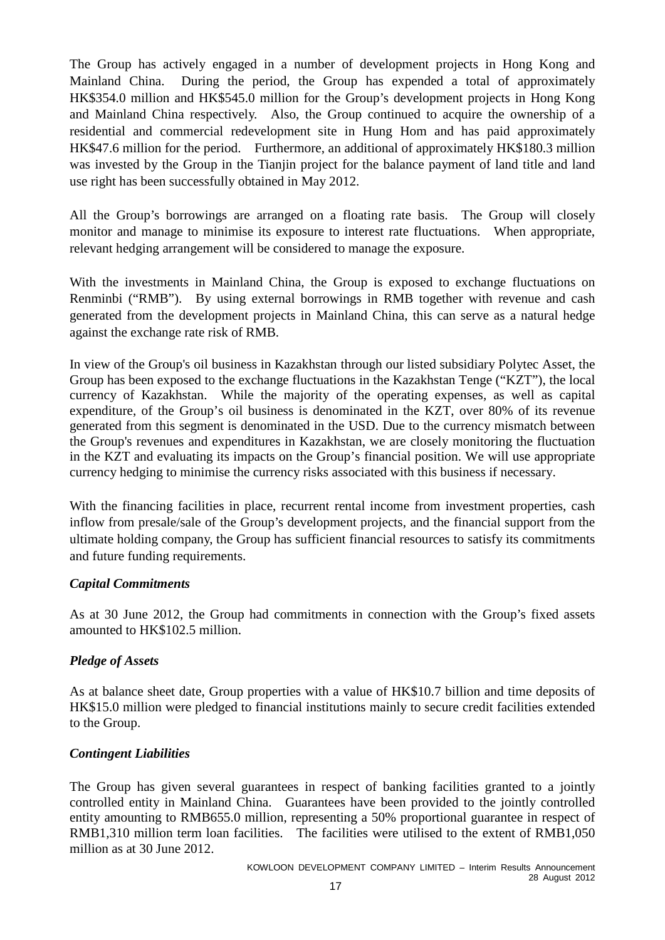The Group has actively engaged in a number of development projects in Hong Kong and Mainland China. During the period, the Group has expended a total of approximately HK\$354.0 million and HK\$545.0 million for the Group's development projects in Hong Kong and Mainland China respectively. Also, the Group continued to acquire the ownership of a residential and commercial redevelopment site in Hung Hom and has paid approximately HK\$47.6 million for the period. Furthermore, an additional of approximately HK\$180.3 million was invested by the Group in the Tianjin project for the balance payment of land title and land use right has been successfully obtained in May 2012.

All the Group's borrowings are arranged on a floating rate basis. The Group will closely monitor and manage to minimise its exposure to interest rate fluctuations. When appropriate, relevant hedging arrangement will be considered to manage the exposure.

With the investments in Mainland China, the Group is exposed to exchange fluctuations on Renminbi ("RMB"). By using external borrowings in RMB together with revenue and cash generated from the development projects in Mainland China, this can serve as a natural hedge against the exchange rate risk of RMB.

In view of the Group's oil business in Kazakhstan through our listed subsidiary Polytec Asset, the Group has been exposed to the exchange fluctuations in the Kazakhstan Tenge ("KZT"), the local currency of Kazakhstan. While the majority of the operating expenses, as well as capital expenditure, of the Group's oil business is denominated in the KZT, over 80% of its revenue generated from this segment is denominated in the USD. Due to the currency mismatch between the Group's revenues and expenditures in Kazakhstan, we are closely monitoring the fluctuation in the KZT and evaluating its impacts on the Group's financial position. We will use appropriate currency hedging to minimise the currency risks associated with this business if necessary.

With the financing facilities in place, recurrent rental income from investment properties, cash inflow from presale/sale of the Group's development projects, and the financial support from the ultimate holding company, the Group has sufficient financial resources to satisfy its commitments and future funding requirements.

## *Capital Commitments*

As at 30 June 2012, the Group had commitments in connection with the Group's fixed assets amounted to HK\$102.5 million.

## *Pledge of Assets*

As at balance sheet date, Group properties with a value of HK\$10.7 billion and time deposits of HK\$15.0 million were pledged to financial institutions mainly to secure credit facilities extended to the Group.

## *Contingent Liabilities*

The Group has given several guarantees in respect of banking facilities granted to a jointly controlled entity in Mainland China. Guarantees have been provided to the jointly controlled entity amounting to RMB655.0 million, representing a 50% proportional guarantee in respect of RMB1,310 million term loan facilities. The facilities were utilised to the extent of RMB1,050 million as at 30 June 2012.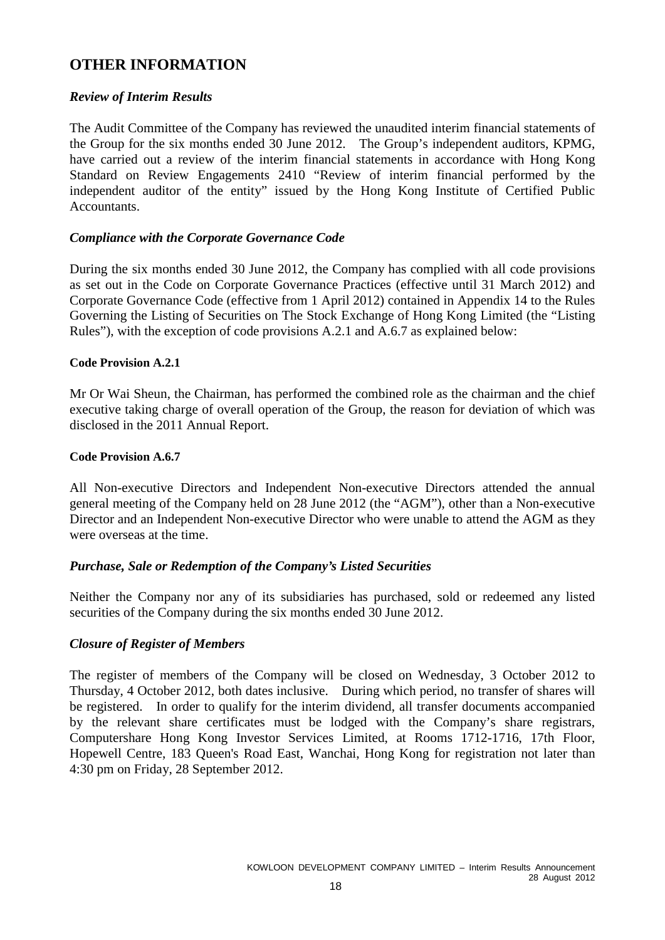## **OTHER INFORMATION**

## *Review of Interim Results*

The Audit Committee of the Company has reviewed the unaudited interim financial statements of the Group for the six months ended 30 June 2012. The Group's independent auditors, KPMG, have carried out a review of the interim financial statements in accordance with Hong Kong Standard on Review Engagements 2410 "Review of interim financial performed by the independent auditor of the entity" issued by the Hong Kong Institute of Certified Public Accountants.

## *Compliance with the Corporate Governance Code*

During the six months ended 30 June 2012, the Company has complied with all code provisions as set out in the Code on Corporate Governance Practices (effective until 31 March 2012) and Corporate Governance Code (effective from 1 April 2012) contained in Appendix 14 to the Rules Governing the Listing of Securities on The Stock Exchange of Hong Kong Limited (the "Listing Rules"), with the exception of code provisions A.2.1 and A.6.7 as explained below:

## **Code Provision A.2.1**

Mr Or Wai Sheun, the Chairman, has performed the combined role as the chairman and the chief executive taking charge of overall operation of the Group, the reason for deviation of which was disclosed in the 2011 Annual Report.

### **Code Provision A.6.7**

All Non-executive Directors and Independent Non-executive Directors attended the annual general meeting of the Company held on 28 June 2012 (the "AGM"), other than a Non-executive Director and an Independent Non-executive Director who were unable to attend the AGM as they were overseas at the time.

### *Purchase, Sale or Redemption of the Company's Listed Securities*

Neither the Company nor any of its subsidiaries has purchased, sold or redeemed any listed securities of the Company during the six months ended 30 June 2012.

### *Closure of Register of Members*

The register of members of the Company will be closed on Wednesday, 3 October 2012 to Thursday, 4 October 2012, both dates inclusive. During which period, no transfer of shares will be registered. In order to qualify for the interim dividend, all transfer documents accompanied by the relevant share certificates must be lodged with the Company's share registrars, Computershare Hong Kong Investor Services Limited, at Rooms 1712-1716, 17th Floor, Hopewell Centre, 183 Queen's Road East, Wanchai, Hong Kong for registration not later than 4:30 pm on Friday, 28 September 2012.